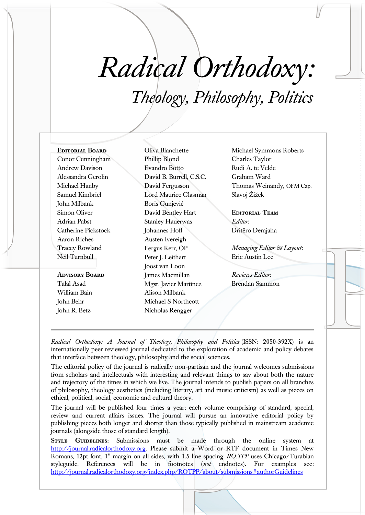## *Radical Orthodoxy: Theology, Philosophy, Politics*

Conor Cunningham Andrew Davison Alessandra Gerolin Michael Hanby Samuel Kimbriel John Milbank Simon Oliver Adrian Pabst Catherine Pickstock

**Editorial Board**

Tracey Rowland Neil Turnbull **Advisory Board** Talal Asad

Aaron Riches

William Bain John Behr John R. Betz

Oliva Blanchette Phillip Blond Evandro Botto David B. Burrell, C.S.C. David Fergusson Lord Maurice Glasman Boris Gunjević David Bentley Hart Stanley Hauerwas Johannes Hoff Austen Ivereigh Fergus Kerr, OP Peter J. Leithart Joost van Loon James Macmillan Mgsr. Javier Martínez Alison Milbank Michael S Northcott Nicholas Rengger

Michael Symmons Roberts Charles Taylor Rudi A. te Velde Graham Ward Thomas Weinandy, OFM Cap. Slavoj Žižek

**Editorial Team** *Editor*: Dritëro Demjaha

*Managing Editor & Layout*: Eric Austin Lee

*Reviews Editor*: Brendan Sammon

*Radical Orthodoxy: A Journal of Theology, Philosophy and Politics* (ISSN: 2050-392X) is an internationally peer reviewed journal dedicated to the exploration of academic and policy debates that interface between theology, philosophy and the social sciences.

The editorial policy of the journal is radically non-partisan and the journal welcomes submissions from scholars and intellectuals with interesting and relevant things to say about both the nature and trajectory of the times in which we live. The journal intends to publish papers on all branches of philosophy, theology aesthetics (including literary, art and music criticism) as well as pieces on ethical, political, social, economic and cultural theory.

The journal will be published four times a year; each volume comprising of standard, special, review and current affairs issues. The journal will pursue an innovative editorial policy by publishing pieces both longer and shorter than those typically published in mainstream academic journals (alongside those of standard length).

**STYLE GUIDELINES:** Submissions must be made through the online system at [http://journal.radicalorthodoxy.org.](http://journal.radicalorthodoxy.org/) Please submit a Word or RTF document in Times New Romans, 12pt font, 1" margin on all sides, with 1.5 line spacing. *RO:TPP* uses Chicago/Turabian styleguide. References will be in footnotes (*not* endnotes). For examples see: <http://journal.radicalorthodoxy.org/index.php/ROTPP/about/submissions#authorGuidelines>